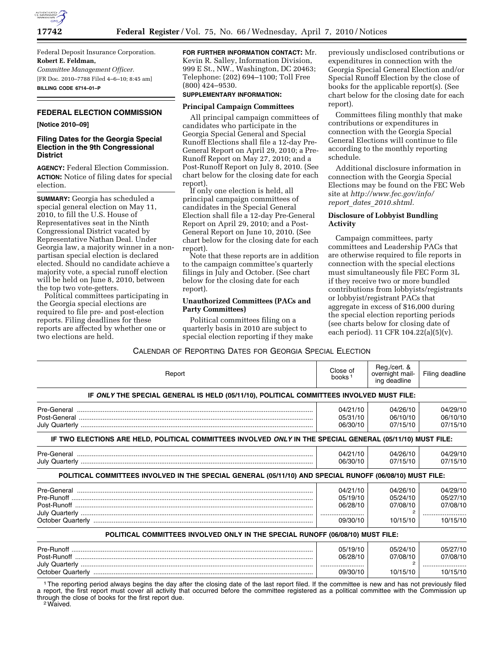

Federal Deposit Insurance Corporation. **Robert E. Feldman,**  *Committee Management Officer.*  [FR Doc. 2010–7788 Filed 4–6–10; 8:45 am] **BILLING CODE 6714–01–P** 

# **FEDERAL ELECTION COMMISSION**

## **[Notice 2010–09]**

## **Filing Dates for the Georgia Special Election in the 9th Congressional District**

**AGENCY:** Federal Election Commission. **ACTION:** Notice of filing dates for special election.

**SUMMARY:** Georgia has scheduled a special general election on May 11, 2010, to fill the U.S. House of Representatives seat in the Ninth Congressional District vacated by Representative Nathan Deal. Under Georgia law, a majority winner in a nonpartisan special election is declared elected. Should no candidate achieve a majority vote, a special runoff election will be held on June 8, 2010, between the top two vote-getters.

Political committees participating in the Georgia special elections are required to file pre- and post-election reports. Filing deadlines for these reports are affected by whether one or two elections are held.

**FOR FURTHER INFORMATION CONTACT:** Mr. Kevin R. Salley, Information Division, 999 E St., NW., Washington, DC 20463; Telephone: (202) 694–1100; Toll Free (800) 424–9530.

#### **SUPPLEMENTARY INFORMATION:**

#### **Principal Campaign Committees**

All principal campaign committees of candidates who participate in the Georgia Special General and Special Runoff Elections shall file a 12-day Pre-General Report on April 29, 2010; a Pre-Runoff Report on May 27, 2010; and a Post-Runoff Report on July 8, 2010. (See chart below for the closing date for each report).

If only one election is held, all principal campaign committees of candidates in the Special General Election shall file a 12-day Pre-General Report on April 29, 2010; and a Post-General Report on June 10, 2010. (See chart below for the closing date for each report).

Note that these reports are in addition to the campaign committee's quarterly filings in July and October. (See chart below for the closing date for each report).

### **Unauthorized Committees (PACs and Party Committees)**

Political committees filing on a quarterly basis in 2010 are subject to special election reporting if they make

previously undisclosed contributions or expenditures in connection with the Georgia Special General Election and/or Special Runoff Election by the close of books for the applicable report(s). (See chart below for the closing date for each report).

Committees filing monthly that make contributions or expenditures in connection with the Georgia Special General Elections will continue to file according to the monthly reporting schedule.

Additional disclosure information in connection with the Georgia Special Elections may be found on the FEC Web site at *http://www.fec.gov/info/ report*\_*dates*\_*2010.shtml.* 

## **Disclosure of Lobbyist Bundling Activity**

Campaign committees, party committees and Leadership PACs that are otherwise required to file reports in connection with the special elections must simultaneously file FEC Form 3L if they receive two or more bundled contributions from lobbyists/registrants or lobbyist/registrant PACs that aggregate in excess of \$16,000 during the special election reporting periods (see charts below for closing date of each period). 11 CFR 104.22(a)(5)(v).

CALENDAR OF REPORTING DATES FOR GEORGIA SPECIAL ELECTION

| Report                                                                                                     | Close of<br>books <sup>1</sup>               | Reg./cert. &<br>overnight mail-<br>ing deadline | Filing deadline                              |  |  |
|------------------------------------------------------------------------------------------------------------|----------------------------------------------|-------------------------------------------------|----------------------------------------------|--|--|
| IF ONLY THE SPECIAL GENERAL IS HELD (05/11/10), POLITICAL COMMITTEES INVOLVED MUST FILE:                   |                                              |                                                 |                                              |  |  |
|                                                                                                            | 04/21/10<br>05/31/10<br>06/30/10             | 04/26/10<br>06/10/10<br>07/15/10                | 04/29/10<br>06/10/10<br>07/15/10             |  |  |
| IF TWO ELECTIONS ARE HELD, POLITICAL COMMITTEES INVOLVED ONLY IN THE SPECIAL GENERAL (05/11/10) MUST FILE: |                                              |                                                 |                                              |  |  |
|                                                                                                            | 04/21/10<br>06/30/10                         | 04/26/10<br>07/15/10                            | 04/29/10<br>07/15/10                         |  |  |
| POLITICAL COMMITTEES INVOLVED IN THE SPECIAL GENERAL (05/11/10) AND SPECIAL RUNOFF (06/08/10) MUST FILE:   |                                              |                                                 |                                              |  |  |
|                                                                                                            | 04/21/10<br>05/19/10<br>06/28/10<br>09/30/10 | 04/26/10<br>05/24/10<br>07/08/10<br>10/15/10    | 04/29/10<br>05/27/10<br>07/08/10<br>10/15/10 |  |  |
| POLITICAL COMMITTEES INVOLVED ONLY IN THE SPECIAL RUNOFF (06/08/10) MUST FILE:                             |                                              |                                                 |                                              |  |  |
|                                                                                                            | 05/19/10<br>06/28/10<br>09/30/10             | 05/24/10<br>07/08/10<br>10/15/10                | 05/27/10<br>07/08/10<br>10/15/10             |  |  |

1The reporting period always begins the day after the closing date of the last report filed. If the committee is new and has not previously filed a report, the first report must cover all activity that occurred before the committee registered as a political committee with the Commission up through the close of books for the first report due. 2Waived.